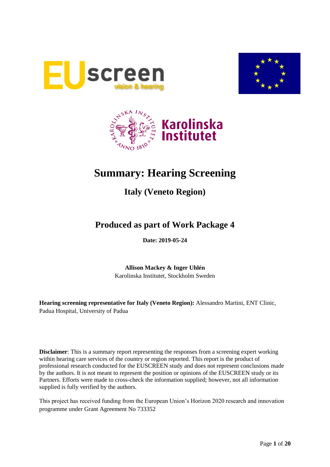





# **Summary: Hearing Screening**

# **Italy (Veneto Region)**

# **Produced as part of Work Package 4**

**Date: 2019-05-24**

**Allison Mackey & Inger Uhlén** Karolinska Institutet, Stockholm Sweden

**Hearing screening representative for Italy (Veneto Region):** Alessandro Martini, ENT Clinic, Padua Hospital, University of Padua

**Disclaimer**: This is a summary report representing the responses from a screening expert working within hearing care services of the country or region reported. This report is the product of professional research conducted for the EUSCREEN study and does not represent conclusions made by the authors. It is not meant to represent the position or opinions of the EUSCREEN study or its Partners. Efforts were made to cross-check the information supplied; however, not all information supplied is fully verified by the authors.

This project has received funding from the European Union's Horizon 2020 research and innovation programme under Grant Agreement No 733352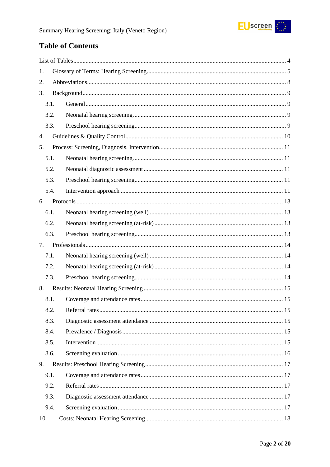

# **Table of Contents**

| 1.   |  |  |  |  |
|------|--|--|--|--|
| 2.   |  |  |  |  |
| 3.   |  |  |  |  |
| 3.1. |  |  |  |  |
| 3.2. |  |  |  |  |
| 3.3. |  |  |  |  |
| 4.   |  |  |  |  |
| 5.   |  |  |  |  |
| 5.1. |  |  |  |  |
| 5.2. |  |  |  |  |
| 5.3. |  |  |  |  |
| 5.4. |  |  |  |  |
| 6.   |  |  |  |  |
| 6.1. |  |  |  |  |
| 6.2. |  |  |  |  |
| 6.3. |  |  |  |  |
| 7.   |  |  |  |  |
| 7.1. |  |  |  |  |
| 7.2. |  |  |  |  |
| 7.3. |  |  |  |  |
| 8.   |  |  |  |  |
| 8.1. |  |  |  |  |
| 8.2. |  |  |  |  |
| 8.3. |  |  |  |  |
| 8.4. |  |  |  |  |
| 8.5. |  |  |  |  |
| 8.6. |  |  |  |  |
| 9.   |  |  |  |  |
| 9.1. |  |  |  |  |
| 9.2. |  |  |  |  |
| 9.3. |  |  |  |  |
| 9.4. |  |  |  |  |
| 10.  |  |  |  |  |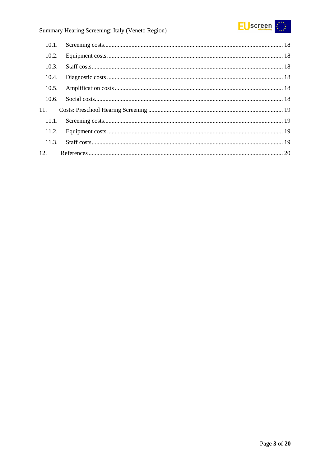

# Summary Hearing Screening: Italy (Veneto Region)

| 10.1. |  |
|-------|--|
| 10.2. |  |
| 10.3. |  |
| 10.4. |  |
| 10.5. |  |
| 10.6. |  |
| 11.   |  |
| 11.1. |  |
| 11.2. |  |
| 11.3. |  |
|       |  |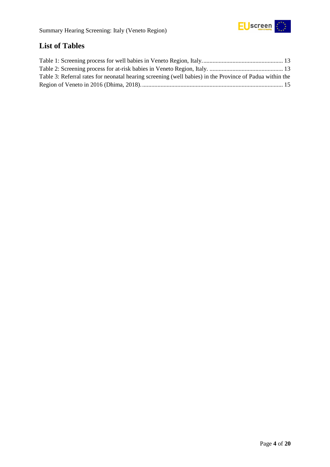

# <span id="page-3-0"></span>**List of Tables**

| Table 3: Referral rates for neonatal hearing screening (well babies) in the Province of Padua within the |  |
|----------------------------------------------------------------------------------------------------------|--|
|                                                                                                          |  |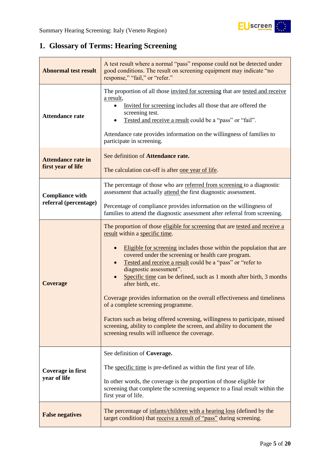

# <span id="page-4-0"></span>**1. Glossary of Terms: Hearing Screening**

| <b>Abnormal test result</b>                                                                                                                 | A test result where a normal "pass" response could not be detected under<br>good conditions. The result on screening equipment may indicate "no<br>response," "fail," or "refer."                                                                                                                                                                                                                                                                                                                                                                                                                                                                                                                                                                                |  |  |
|---------------------------------------------------------------------------------------------------------------------------------------------|------------------------------------------------------------------------------------------------------------------------------------------------------------------------------------------------------------------------------------------------------------------------------------------------------------------------------------------------------------------------------------------------------------------------------------------------------------------------------------------------------------------------------------------------------------------------------------------------------------------------------------------------------------------------------------------------------------------------------------------------------------------|--|--|
| <b>Attendance rate</b>                                                                                                                      | The proportion of all those invited for screening that are tested and receive<br>a result,<br>Invited for screening includes all those that are offered the<br>screening test.<br>Tested and receive a result could be a "pass" or "fail".<br>Attendance rate provides information on the willingness of families to<br>participate in screening.                                                                                                                                                                                                                                                                                                                                                                                                                |  |  |
| See definition of Attendance rate.<br><b>Attendance rate in</b><br>first year of life<br>The calculation cut-off is after one year of life. |                                                                                                                                                                                                                                                                                                                                                                                                                                                                                                                                                                                                                                                                                                                                                                  |  |  |
| <b>Compliance with</b><br>referral (percentage)                                                                                             | The percentage of those who are referred from screening to a diagnostic<br>assessment that actually attend the first diagnostic assessment.<br>Percentage of compliance provides information on the willingness of                                                                                                                                                                                                                                                                                                                                                                                                                                                                                                                                               |  |  |
|                                                                                                                                             | families to attend the diagnostic assessment after referral from screening.                                                                                                                                                                                                                                                                                                                                                                                                                                                                                                                                                                                                                                                                                      |  |  |
| <b>Coverage</b>                                                                                                                             | The proportion of those eligible for screening that are tested and receive a<br>result within a specific time.<br>Eligible for screening includes those within the population that are<br>covered under the screening or health care program.<br>Tested and receive a result could be a "pass" or "refer to<br>diagnostic assessment".<br>Specific time can be defined, such as 1 month after birth, 3 months<br>after birth, etc.<br>Coverage provides information on the overall effectiveness and timeliness<br>of a complete screening programme.<br>Factors such as being offered screening, willingness to participate, missed<br>screening, ability to complete the screen, and ability to document the<br>screening results will influence the coverage. |  |  |
| <b>Coverage in first</b><br>year of life                                                                                                    | See definition of Coverage.<br>The specific time is pre-defined as within the first year of life.<br>In other words, the coverage is the proportion of those eligible for<br>screening that complete the screening sequence to a final result within the<br>first year of life.                                                                                                                                                                                                                                                                                                                                                                                                                                                                                  |  |  |
| <b>False negatives</b>                                                                                                                      | The percentage of infants/children with a hearing loss (defined by the<br>target condition) that receive a result of "pass" during screening.                                                                                                                                                                                                                                                                                                                                                                                                                                                                                                                                                                                                                    |  |  |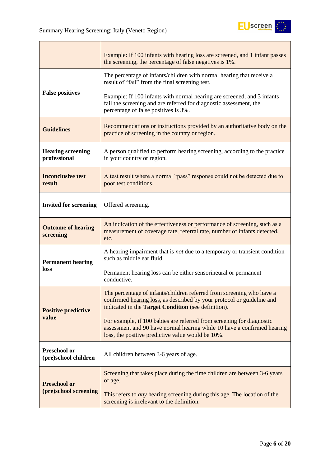

|                                             | Example: If 100 infants with hearing loss are screened, and 1 infant passes<br>the screening, the percentage of false negatives is 1%.                                                                 |
|---------------------------------------------|--------------------------------------------------------------------------------------------------------------------------------------------------------------------------------------------------------|
|                                             | The percentage of infants/children with normal hearing that receive a<br>result of "fail" from the final screening test.                                                                               |
| <b>False positives</b>                      | Example: If 100 infants with normal hearing are screened, and 3 infants<br>fail the screening and are referred for diagnostic assessment, the<br>percentage of false positives is 3%.                  |
| <b>Guidelines</b>                           | Recommendations or instructions provided by an authoritative body on the<br>practice of screening in the country or region.                                                                            |
| <b>Hearing screening</b><br>professional    | A person qualified to perform hearing screening, according to the practice<br>in your country or region.                                                                                               |
| <b>Inconclusive test</b><br>result          | A test result where a normal "pass" response could not be detected due to<br>poor test conditions.                                                                                                     |
| <b>Invited for screening</b>                | Offered screening.                                                                                                                                                                                     |
| <b>Outcome of hearing</b><br>screening      | An indication of the effectiveness or performance of screening, such as a<br>measurement of coverage rate, referral rate, number of infants detected,<br>etc.                                          |
| <b>Permanent hearing</b>                    | A hearing impairment that is <i>not</i> due to a temporary or transient condition<br>such as middle ear fluid.                                                                                         |
| loss                                        | Permanent hearing loss can be either sensorineural or permanent<br>conductive.                                                                                                                         |
| <b>Positive predictive</b>                  | The percentage of infants/children referred from screening who have a<br>confirmed hearing loss, as described by your protocol or guideline and<br>indicated in the Target Condition (see definition). |
| value                                       | For example, if 100 babies are referred from screening for diagnostic<br>assessment and 90 have normal hearing while 10 have a confirmed hearing<br>loss, the positive predictive value would be 10%.  |
| <b>Preschool or</b><br>(pre)school children | All children between 3-6 years of age.                                                                                                                                                                 |
| <b>Preschool or</b>                         | Screening that takes place during the time children are between 3-6 years<br>of age.                                                                                                                   |
| (pre)school screening                       | This refers to <i>any</i> hearing screening during this age. The location of the<br>screening is irrelevant to the definition.                                                                         |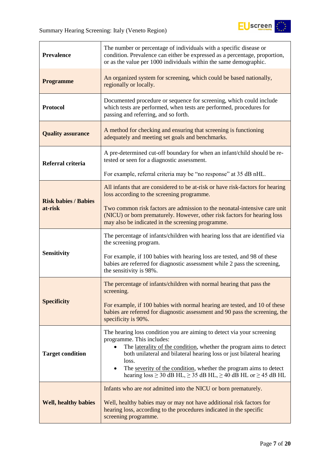

| <b>Prevalence</b>           | The number or percentage of individuals with a specific disease or<br>condition. Prevalence can either be expressed as a percentage, proportion,<br>or as the value per 1000 individuals within the same demographic.                                       |  |  |
|-----------------------------|-------------------------------------------------------------------------------------------------------------------------------------------------------------------------------------------------------------------------------------------------------------|--|--|
| <b>Programme</b>            | An organized system for screening, which could be based nationally,<br>regionally or locally.                                                                                                                                                               |  |  |
| <b>Protocol</b>             | Documented procedure or sequence for screening, which could include<br>which tests are performed, when tests are performed, procedures for<br>passing and referring, and so forth.                                                                          |  |  |
| <b>Quality assurance</b>    | A method for checking and ensuring that screening is functioning<br>adequately and meeting set goals and benchmarks.                                                                                                                                        |  |  |
| Referral criteria           | A pre-determined cut-off boundary for when an infant/child should be re-<br>tested or seen for a diagnostic assessment.                                                                                                                                     |  |  |
|                             | For example, referral criteria may be "no response" at 35 dB nHL.                                                                                                                                                                                           |  |  |
| <b>Risk babies / Babies</b> | All infants that are considered to be at-risk or have risk-factors for hearing<br>loss according to the screening programme.                                                                                                                                |  |  |
| at-risk                     | Two common risk factors are admission to the neonatal-intensive care unit<br>(NICU) or born prematurely. However, other risk factors for hearing loss<br>may also be indicated in the screening programme.                                                  |  |  |
|                             | The percentage of infants/children with hearing loss that are identified via<br>the screening program.                                                                                                                                                      |  |  |
| <b>Sensitivity</b>          | For example, if 100 babies with hearing loss are tested, and 98 of these<br>babies are referred for diagnostic assessment while 2 pass the screening,<br>the sensitivity is 98%.                                                                            |  |  |
|                             | The percentage of infants/children with normal hearing that pass the<br>screening.                                                                                                                                                                          |  |  |
| <b>Specificity</b>          | For example, if 100 babies with normal hearing are tested, and 10 of these<br>babies are referred for diagnostic assessment and 90 pass the screening, the<br>specificity is 90%.                                                                           |  |  |
| <b>Target condition</b>     | The hearing loss condition you are aiming to detect via your screening<br>programme. This includes:<br>The laterality of the condition, whether the program aims to detect<br>both unilateral and bilateral hearing loss or just bilateral hearing<br>loss. |  |  |
|                             | The severity of the condition, whether the program aims to detect<br>hearing $loss \ge 30$ dB HL, $\ge 35$ dB HL, $\ge 40$ dB HL or $\ge 45$ dB HL                                                                                                          |  |  |
|                             | Infants who are <i>not</i> admitted into the NICU or born prematurely.                                                                                                                                                                                      |  |  |
| <b>Well, healthy babies</b> | Well, healthy babies may or may not have additional risk factors for<br>hearing loss, according to the procedures indicated in the specific<br>screening programme.                                                                                         |  |  |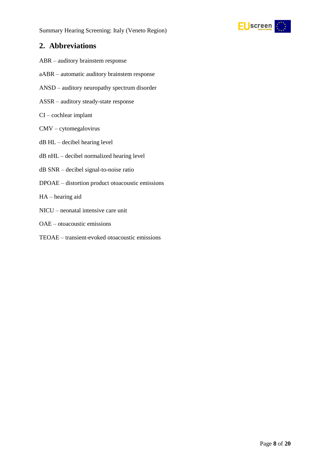

## <span id="page-7-0"></span>**2. Abbreviations**

- ABR auditory brainstem response
- aABR automatic auditory brainstem response
- ANSD auditory neuropathy spectrum disorder
- ASSR auditory steady-state response
- CI cochlear implant
- CMV cytomegalovirus
- dB HL decibel hearing level
- dB nHL decibel normalized hearing level
- dB SNR decibel signal-to-noise ratio
- DPOAE distortion product otoacoustic emissions
- HA hearing aid
- NICU neonatal intensive care unit
- OAE otoacoustic emissions
- TEOAE transient-evoked otoacoustic emissions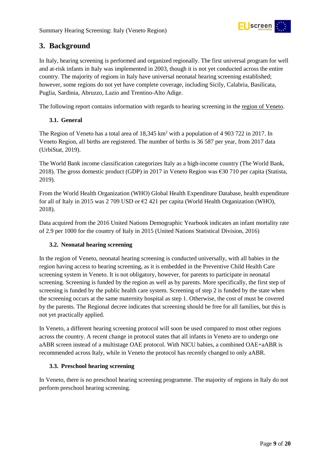

# <span id="page-8-0"></span>**3. Background**

In Italy, hearing screening is performed and organized regionally. The first universal program for well and at-risk infants in Italy was implemented in 2003, though it is not yet conducted across the entire country. The majority of regions in Italy have universal neonatal hearing screening established; however, some regions do not yet have complete coverage, including Sicily, Calabria, Basilicata, Puglia, Sardinia, Abruzzo, Lazio and Trentino-Alto Adige.

The following report contains information with regards to hearing screening in the region of Veneto.

#### <span id="page-8-1"></span>**3.1. General**

The Region of Veneto has a total area of  $18.345 \text{ km}^2$  with a population of 4 903 722 in 2017. In Veneto Region, all births are registered. The number of births is 36 587 per year, from 2017 data (UrbiStat, 2019).

The World Bank income classification categorizes Italy as a high-income country (The World Bank, 2018). The gross domestic product (GDP) in 2017 in Veneto Region was €30 710 per capita (Statista, 2019).

From the World Health Organization (WHO) Global Health Expenditure Database, health expenditure for all of Italy in 2015 was 2 709 USD or  $\epsilon$ 2 421 per capita (World Health Organization (WHO), 2018).

Data acquired from the 2016 United Nations Demographic Yearbook indicates an infant mortality rate of 2.9 per 1000 for the country of Italy in 2015 (United Nations Statistical Division, 2016)

#### <span id="page-8-2"></span>**3.2. Neonatal hearing screening**

In the region of Veneto, neonatal hearing screening is conducted universally, with all babies in the region having access to hearing screening, as it is embedded in the Preventive Child Health Care screening system in Veneto. It is not obligatory, however, for parents to participate in neonatal screening. Screening is funded by the region as well as by parents. More specifically, the first step of screening is funded by the public health care system. Screening of step 2 is funded by the state when the screening occurs at the same maternity hospital as step 1. Otherwise, the cost of must be covered by the parents. The Regional decree indicates that screening should be free for all families, but this is not yet practically applied.

In Veneto, a different hearing screening protocol will soon be used compared to most other regions across the country. A recent change in protocol states that all infants in Veneto are to undergo one aABR screen instead of a multistage OAE protocol. With NICU babies, a combined OAE+aABR is recommended across Italy, while in Veneto the protocol has recently changed to only aABR.

#### <span id="page-8-3"></span>**3.3. Preschool hearing screening**

In Veneto, there is no preschool hearing screening programme. The majority of regions in Italy do not perform preschool hearing screening.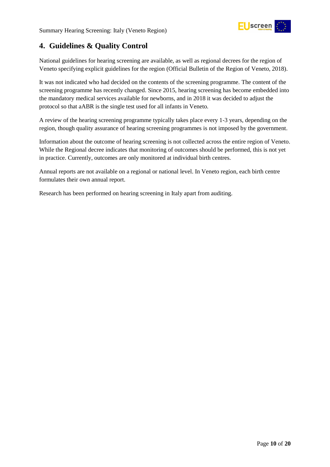

# <span id="page-9-0"></span>**4. Guidelines & Quality Control**

National guidelines for hearing screening are available, as well as regional decrees for the region of Veneto specifying explicit guidelines for the region (Official Bulletin of the Region of Veneto, 2018).

It was not indicated who had decided on the contents of the screening programme. The content of the screening programme has recently changed. Since 2015, hearing screening has become embedded into the mandatory medical services available for newborns, and in 2018 it was decided to adjust the protocol so that aABR is the single test used for all infants in Veneto.

A review of the hearing screening programme typically takes place every 1-3 years, depending on the region, though quality assurance of hearing screening programmes is not imposed by the government.

Information about the outcome of hearing screening is not collected across the entire region of Veneto. While the Regional decree indicates that monitoring of outcomes should be performed, this is not yet in practice. Currently, outcomes are only monitored at individual birth centres.

Annual reports are not available on a regional or national level. In Veneto region, each birth centre formulates their own annual report.

Research has been performed on hearing screening in Italy apart from auditing.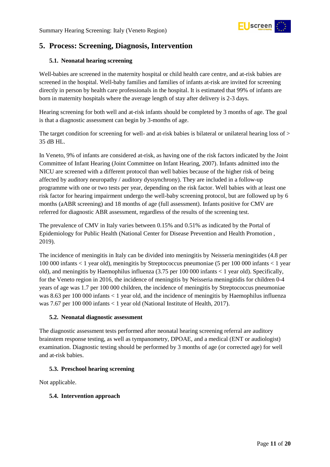

# <span id="page-10-0"></span>**5. Process: Screening, Diagnosis, Intervention**

#### <span id="page-10-1"></span>**5.1. Neonatal hearing screening**

Well-babies are screened in the maternity hospital or child health care centre, and at-risk babies are screened in the hospital. Well-baby families and families of infants at-risk are invited for screening directly in person by health care professionals in the hospital. It is estimated that 99% of infants are born in maternity hospitals where the average length of stay after delivery is 2-3 days.

Hearing screening for both well and at-risk infants should be completed by 3 months of age. The goal is that a diagnostic assessment can begin by 3-months of age.

The target condition for screening for well- and at-risk babies is bilateral or unilateral hearing loss of  $>$ 35 dB HL.

In Veneto, 9% of infants are considered at-risk, as having one of the risk factors indicated by the Joint Committee of Infant Hearing (Joint Committee on Infant Hearing, 2007). Infants admitted into the NICU are screened with a different protocol than well babies because of the higher risk of being affected by auditory neuropathy / auditory dyssynchrony). They are included in a follow-up programme with one or two tests per year, depending on the risk factor. Well babies with at least one risk factor for hearing impairment undergo the well-baby screening protocol, but are followed up by 6 months (aABR screening) and 18 months of age (full assessment). Infants positive for CMV are referred for diagnostic ABR assessment, regardless of the results of the screening test.

The prevalence of CMV in Italy varies between 0.15% and 0.51% as indicated by the Portal of Epidemiology for Public Health (National Center for Disease Prevention and Health Promotion , 2019).

The incidence of meningitis in Italy can be divided into meningitis by Neisseria meningitides (4.8 per 100 000 infants < 1 year old), meningitis by Streptococcus pneumoniae (5 per 100 000 infants < 1 year old), and meningitis by Haemophilus influenza (3.75 per 100 000 infants < 1 year old). Specifically, for the Veneto region in 2016, the incidence of meningitis by Neisseria meningitidis for children 0-4 years of age was 1.7 per 100 000 children, the incidence of meningitis by Streptococcus pneumoniae was 8.63 per 100 000 infants < 1 year old, and the incidence of meningitis by Haemophilus influenza was 7.67 per 100 000 infants < 1 year old (National Institute of Health, 2017).

#### <span id="page-10-2"></span>**5.2. Neonatal diagnostic assessment**

The diagnostic assessment tests performed after neonatal hearing screening referral are auditory brainstem response testing, as well as tympanometry, DPOAE, and a medical (ENT or audiologist) examination. Diagnostic testing should be performed by 3 months of age (or corrected age) for well and at-risk babies.

#### <span id="page-10-3"></span>**5.3. Preschool hearing screening**

Not applicable.

#### <span id="page-10-4"></span>**5.4. Intervention approach**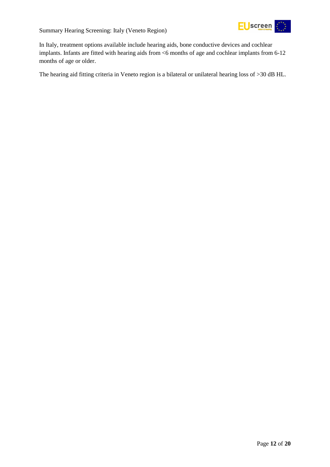Summary Hearing Screening: Italy (Veneto Region)



In Italy, treatment options available include hearing aids, bone conductive devices and cochlear implants. Infants are fitted with hearing aids from <6 months of age and cochlear implants from 6-12 months of age or older.

The hearing aid fitting criteria in Veneto region is a bilateral or unilateral hearing loss of >30 dB HL.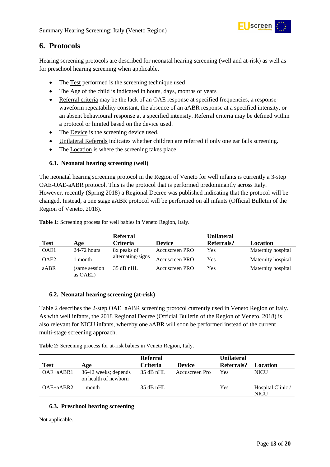

# <span id="page-12-0"></span>**6. Protocols**

Hearing screening protocols are described for neonatal hearing screening (well and at-risk) as well as for preschool hearing screening when applicable.

- The Test performed is the screening technique used
- The Age of the child is indicated in hours, days, months or years
- Referral criteria may be the lack of an OAE response at specified frequencies, a responsewaveform repeatability constant, the absence of an aABR response at a specified intensity, or an absent behavioural response at a specified intensity. Referral criteria may be defined within a protocol or limited based on the device used.
- The Device is the screening device used.
- Unilateral Referrals indicates whether children are referred if only one ear fails screening.
- The Location is where the screening takes place

#### <span id="page-12-1"></span>**6.1. Neonatal hearing screening (well)**

The neonatal hearing screening protocol in the Region of Veneto for well infants is currently a 3-step OAE-OAE-aABR protocol. This is the protocol that is performed predominantly across Italy. However, recently (Spring 2018) a Regional Decree was published indicating that the protocol will be changed. Instead, a one stage aABR protocol will be performed on all infants (Official Bulletin of the Region of Veneto, 2018).

|                  |                             | <b>Referral</b>   |                | <b>Unilateral</b> |                    |
|------------------|-----------------------------|-------------------|----------------|-------------------|--------------------|
| <b>Test</b>      | Age                         | <b>Criteria</b>   | <b>Device</b>  | Referrals?        | Location           |
| OAE1             | $24-72$ hours               | 8x peaks of       | Accuscreen PRO | Yes               | Maternity hospital |
| OAE <sub>2</sub> | month                       | alternating-signs | Accuscreen PRO | Yes               | Maternity hospital |
| aABR             | same session<br>as $OAE2$ ) | $35$ dB nHL       | Accuscreen PRO | Yes               | Maternity hospital |

<span id="page-12-4"></span>**Table 1:** Screening process for well babies in Veneto Region, Italy.

#### <span id="page-12-2"></span>**6.2. Neonatal hearing screening (at-risk)**

Table 2 describes the 2-step OAE+aABR screening protocol currently used in Veneto Region of Italy. As with well infants, the 2018 Regional Decree (Official Bulletin of the Region of Veneto, 2018) is also relevant for NICU infants, whereby one aABR will soon be performed instead of the current multi-stage screening approach.

<span id="page-12-5"></span>**Table 2:** Screening process for at-risk babies in Veneto Region, Italy.

| <b>Test</b>   | Age                                          | <b>Referral</b><br><b>Criteria</b> | <b>Device</b>  | <b>Unilateral</b><br>Referrals? | Location                         |
|---------------|----------------------------------------------|------------------------------------|----------------|---------------------------------|----------------------------------|
| $OAE + aABR1$ | 36-42 weeks; depends<br>on health of newborn | $35$ dB nHL                        | Accuscreen Pro | Yes                             | <b>NICU</b>                      |
| $OAE + aABR2$ | month                                        | $35$ dB nHL                        |                | Yes                             | Hospital Clinic /<br><b>NICU</b> |

#### <span id="page-12-3"></span>**6.3. Preschool hearing screening**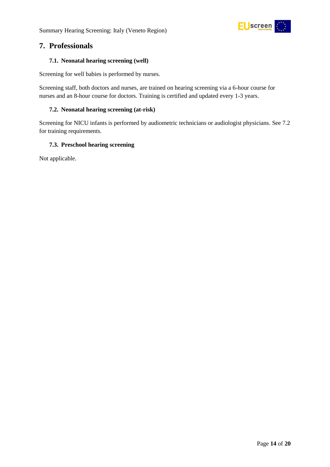

## <span id="page-13-0"></span>**7. Professionals**

#### <span id="page-13-1"></span>**7.1. Neonatal hearing screening (well)**

Screening for well babies is performed by nurses.

Screening staff, both doctors and nurses, are trained on hearing screening via a 6-hour course for nurses and an 8-hour course for doctors. Training is certified and updated every 1-3 years.

#### <span id="page-13-2"></span>**7.2. Neonatal hearing screening (at-risk)**

Screening for NICU infants is performed by audiometric technicians or audiologist physicians. See 7.2 for training requirements.

#### <span id="page-13-3"></span>**7.3. Preschool hearing screening**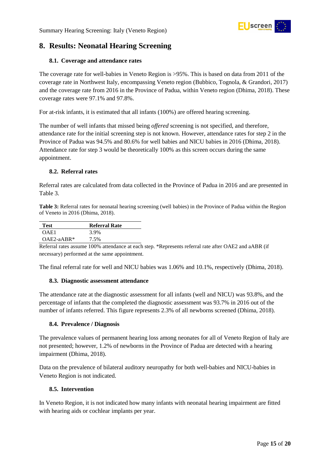

# <span id="page-14-0"></span>**8. Results: Neonatal Hearing Screening**

#### <span id="page-14-1"></span>**8.1. Coverage and attendance rates**

The coverage rate for well-babies in Veneto Region is >95%. This is based on data from 2011 of the coverage rate in Northwest Italy, encompassing Veneto region (Bubbico, Tognola, & Grandori, 2017) and the coverage rate from 2016 in the Province of Padua, within Veneto region (Dhima, 2018). These coverage rates were 97.1% and 97.8%.

For at-risk infants, it is estimated that all infants (100%) are offered hearing screening.

The number of well infants that missed being *offered* screening is not specified, and therefore, attendance rate for the initial screening step is not known. However, attendance rates for step 2 in the Province of Padua was 94.5% and 80.6% for well babies and NICU babies in 2016 (Dhima, 2018). Attendance rate for step 3 would be theoretically 100% as this screen occurs during the same appointment.

#### <span id="page-14-2"></span>**8.2. Referral rates**

Referral rates are calculated from data collected in the Province of Padua in 2016 and are presented in Table 3.

<span id="page-14-6"></span>**Table 3:** Referral rates for neonatal hearing screening (well babies) in the Province of Padua within the Region of Veneto in 2016 (Dhima, 2018).

| <b>Test</b>  | <b>Referral Rate</b> |
|--------------|----------------------|
| OAE1         | 3.9%                 |
| $OAE2-aABR*$ | 7.5%                 |

Referral rates assume 100% attendance at each step. \*Represents referral rate after OAE2 and aABR (if necessary) performed at the same appointment.

The final referral rate for well and NICU babies was 1.06% and 10.1%, respectively (Dhima, 2018).

#### <span id="page-14-3"></span>**8.3. Diagnostic assessment attendance**

The attendance rate at the diagnostic assessment for all infants (well and NICU) was 93.8%, and the percentage of infants that the completed the diagnostic assessment was 93.7% in 2016 out of the number of infants referred. This figure represents 2.3% of all newborns screened (Dhima, 2018).

#### <span id="page-14-4"></span>**8.4. Prevalence / Diagnosis**

The prevalence values of permanent hearing loss among neonates for all of Veneto Region of Italy are not presented; however, 1.2% of newborns in the Province of Padua are detected with a hearing impairment (Dhima, 2018).

Data on the prevalence of bilateral auditory neuropathy for both well-babies and NICU-babies in Veneto Region is not indicated.

#### <span id="page-14-5"></span>**8.5. Intervention**

In Veneto Region, it is not indicated how many infants with neonatal hearing impairment are fitted with hearing aids or cochlear implants per year.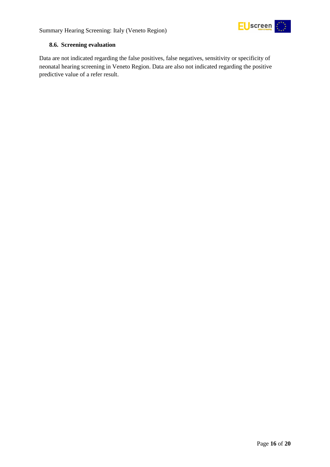

#### <span id="page-15-0"></span>**8.6. Screening evaluation**

Data are not indicated regarding the false positives, false negatives, sensitivity or specificity of neonatal hearing screening in Veneto Region. Data are also not indicated regarding the positive predictive value of a refer result.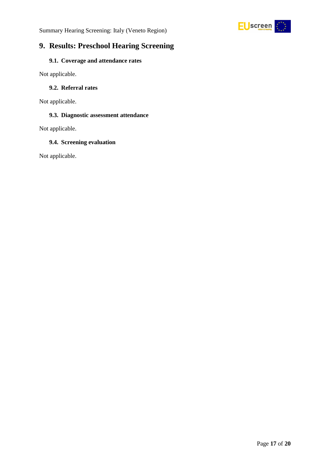



# <span id="page-16-0"></span>**9. Results: Preschool Hearing Screening**

#### <span id="page-16-1"></span>**9.1. Coverage and attendance rates**

Not applicable.

### <span id="page-16-2"></span>**9.2. Referral rates**

Not applicable.

#### <span id="page-16-3"></span>**9.3. Diagnostic assessment attendance**

Not applicable.

#### <span id="page-16-4"></span>**9.4. Screening evaluation**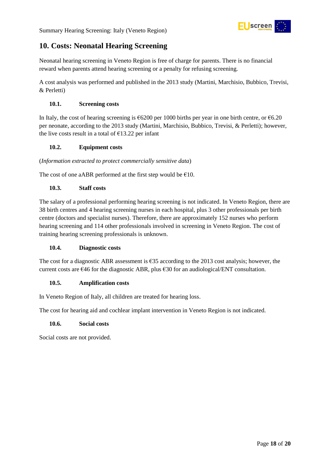

# <span id="page-17-0"></span>**10. Costs: Neonatal Hearing Screening**

Neonatal hearing screening in Veneto Region is free of charge for parents. There is no financial reward when parents attend hearing screening or a penalty for refusing screening.

A cost analysis was performed and published in the 2013 study (Martini, Marchisio, Bubbico, Trevisi, & Perletti)

#### <span id="page-17-1"></span>**10.1. Screening costs**

In Italy, the cost of hearing screening is €6200 per 1000 births per year in one birth centre, or €6.20 per neonate, according to the 2013 study (Martini, Marchisio, Bubbico, Trevisi, & Perletti); however, the live costs result in a total of  $\epsilon$ 13.22 per infant

#### <span id="page-17-2"></span>**10.2. Equipment costs**

(*Information extracted to protect commercially sensitive data*)

The cost of one aABR performed at the first step would be  $£10$ .

#### <span id="page-17-3"></span>**10.3. Staff costs**

The salary of a professional performing hearing screening is not indicated. In Veneto Region, there are 38 birth centres and 4 hearing screening nurses in each hospital, plus 3 other professionals per birth centre (doctors and specialist nurses). Therefore, there are approximately 152 nurses who perform hearing screening and 114 other professionals involved in screening in Veneto Region. The cost of training hearing screening professionals is unknown.

#### <span id="page-17-4"></span>**10.4. Diagnostic costs**

The cost for a diagnostic ABR assessment is  $635$  according to the 2013 cost analysis; however, the current costs are €46 for the diagnostic ABR, plus €30 for an audiological/ENT consultation.

#### <span id="page-17-5"></span>**10.5. Amplification costs**

In Veneto Region of Italy, all children are treated for hearing loss.

The cost for hearing aid and cochlear implant intervention in Veneto Region is not indicated.

#### <span id="page-17-6"></span>**10.6. Social costs**

Social costs are not provided.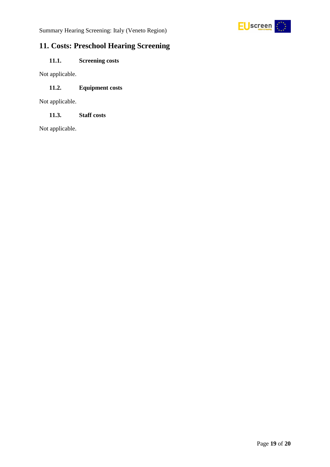

# <span id="page-18-0"></span>**11. Costs: Preschool Hearing Screening**

## <span id="page-18-1"></span>**11.1. Screening costs**

Not applicable.

### <span id="page-18-2"></span>**11.2. Equipment costs**

Not applicable.

### <span id="page-18-3"></span>**11.3. Staff costs**